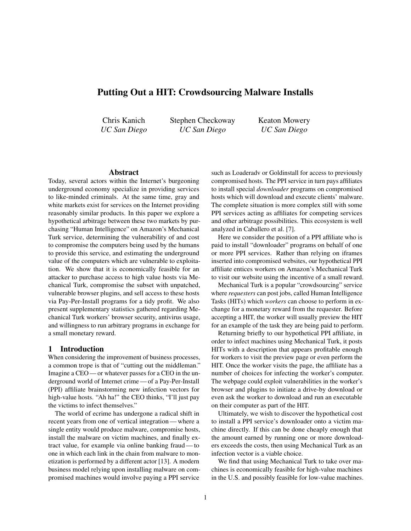# Putting Out a HIT: Crowdsourcing Malware Installs

Chris Kanich *UC San Diego* Stephen Checkoway *UC San Diego*

Keaton Mowery *UC San Diego*

#### Abstract

Today, several actors within the Internet's burgeoning underground economy specialize in providing services to like-minded criminals. At the same time, gray and white markets exist for services on the Internet providing reasonably similar products. In this paper we explore a hypothetical arbitrage between these two markets by purchasing "Human Intelligence" on Amazon's Mechanical Turk service, determining the vulnerability of and cost to compromise the computers being used by the humans to provide this service, and estimating the underground value of the computers which are vulnerable to exploitation. We show that it is economically feasible for an attacker to purchase access to high value hosts via Mechanical Turk, compromise the subset with unpatched, vulnerable browser plugins, and sell access to these hosts via Pay-Per-Install programs for a tidy profit. We also present supplementary statistics gathered regarding Mechanical Turk workers' browser security, antivirus usage, and willingness to run arbitrary programs in exchange for a small monetary reward.

### 1 Introduction

When considering the improvement of business processes, a common trope is that of "cutting out the middleman." Imagine a CEO — or whatever passes for a CEO in the underground world of Internet crime — of a Pay-Per-Install (PPI) affiliate brainstorming new infection vectors for high-value hosts. "Ah ha!" the CEO thinks, "I'll just pay the victims to infect themselves."

The world of ecrime has undergone a radical shift in recent years from one of vertical integration— where a single entity would produce malware, compromise hosts, install the malware on victim machines, and finally extract value, for example via online banking fraud— to one in which each link in the chain from malware to monetization is performed by a different actor [\[13\]](#page-8-0). A modern business model relying upon installing malware on compromised machines would involve paying a PPI service

such as Loaderadv or Goldinstall for access to previously compromised hosts. The PPI service in turn pays affiliates to install special *downloader* programs on compromised hosts which will download and execute clients' malware. The complete situation is more complex still with some PPI services acting as affiliates for competing services and other arbitrage possibilities. This ecosystem is well analyzed in Caballero et al. [\[7\]](#page-8-1).

Here we consider the position of a PPI affiliate who is paid to install "downloader" programs on behalf of one or more PPI services. Rather than relying on iframes inserted into compromised websites, our hypothetical PPI affiliate entices workers on Amazon's Mechanical Turk to visit our website using the incentive of a small reward.

Mechanical Turk is a popular "crowdsourcing" service where *requesters* can post jobs, called Human Intelligence Tasks (HITs) which *workers* can choose to perform in exchange for a monetary reward from the requester. Before accepting a HIT, the worker will usually preview the HIT for an example of the task they are being paid to perform.

Returning briefly to our hypothetical PPI affiliate, in order to infect machines using Mechanical Turk, it posts HITs with a description that appears profitable enough for workers to visit the preview page or even perform the HIT. Once the worker visits the page, the affiliate has a number of choices for infecting the worker's computer. The webpage could exploit vulnerabilities in the worker's browser and plugins to initiate a drive-by download or even ask the worker to download and run an executable on their computer as part of the HIT.

Ultimately, we wish to discover the hypothetical cost to install a PPI service's downloader onto a victim machine directly. If this can be done cheaply enough that the amount earned by running one or more downloaders exceeds the costs, then using Mechanical Turk as an infection vector is a viable choice.

We find that using Mechanical Turk to take over machines is economically feasible for high-value machines in the U.S. and possibly feasible for low-value machines.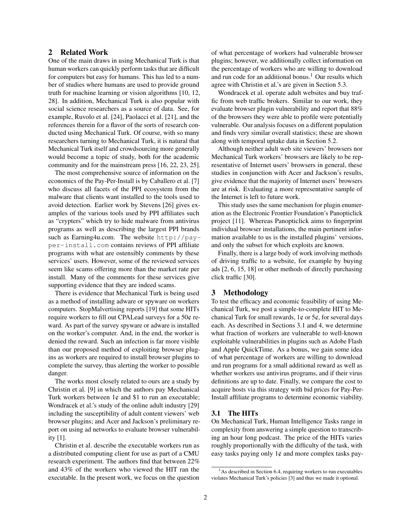# 2 Related Work

One of the main draws in using Mechanical Turk is that human workers can quickly perform tasks that are difficult for computers but easy for humans. This has led to a number of studies where humans are used to provide ground truth for machine learning or vision algorithms [\[10,](#page-8-2) [12,](#page-8-3) [28\]](#page-9-0). In addition, Mechanical Turk is also popular with social science researchers as a source of data. See, for example, Ruvolo et al. [\[24\]](#page-8-4), Paolacci et al. [\[21\]](#page-8-5), and the references therein for a flavor of the sorts of research conducted using Mechanical Turk. Of course, with so many researchers turning to Mechanical Turk, it is natural that Mechanical Turk itself and crowdsourcing more generally would become a topic of study, both for the academic community and for the mainstream press [\[16,](#page-8-6) [22,](#page-8-7) [23,](#page-8-8) [25\]](#page-9-1).

The most comprehensive source of information on the economics of the Pay-Per-Install is by Caballero et al. [\[7\]](#page-8-1) who discuss all facets of the PPI ecosystem from the malware that clients want installed to the tools used to avoid detection. Earlier work by Stevens [\[26\]](#page-9-2) gives examples of the various tools used by PPI affiliates such as "crypters" which try to hide malware from antivirus programs as well as describing the largest PPI brands such as Earning4u.com. The website [http://pay](http://pay-per-install.com)[per-install.com](http://pay-per-install.com) contains reviews of PPI affiliate programs with what are ostensibly comments by these services' users. However, some of the reviewed services seem like scams offering more than the market rate per install. Many of the comments for these services give supporting evidence that they are indeed scams.

There is evidence that Mechanical Turk is being used as a method of installing adware or spyware on workers computers. StopMalvertising reports [\[19\]](#page-8-9) that some HITs require workers to fill out CPALead surveys for a 50¢ reward. As part of the survey spyware or adware is installed on the worker's computer. And, in the end, the worker is denied the reward. Such an infection is far more visible than our proposed method of exploiting browser plugins as workers are required to install browser plugins to complete the survey, thus alerting the worker to possible danger.

The works most closely related to ours are a study by Christin et al. [\[9\]](#page-8-10) in which the authors pay Mechanical Turk workers between  $1¢$  and \$1 to run an executable; Wondracek et al.'s study of the online adult industry [\[29\]](#page-9-3) including the susceptibility of adult content viewers' web browser plugins; and Acer and Jackson's preliminary report on using ad networks to evaluate browser vulnerability [\[1\]](#page-8-11).

Christin et al. describe the executable workers run as a distributed computing client for use as part of a CMU research experiment. The authors find that between 22% and 43% of the workers who viewed the HIT ran the executable. In the present work, we focus on the question of what percentage of workers had vulnerable browser plugins; however, we additionally collect information on the percentage of workers who are willing to download and run code for an additional bonus.<sup>[1](#page-1-0)</sup> Our results which agree with Christin et al.'s are given in Section [5.3.](#page-4-0)

Wondracek et al. operate adult websites and buy traffic from web traffic brokers. Similar to our work, they evaluate browser plugin vulnerability and report that 88% of the browsers they were able to profile were potentially vulnerable. Our analysis focuses on a different population and finds very similar overall statistics; these are shown along with temporal uptake data in Section [5.2.](#page-4-1)

Although neither adult web site viewers' browsers nor Mechanical Turk workers' browsers are likely to be representative of Internet users' browsers in general, these studies in conjunction with Acer and Jackson's results, give evidence that the majority of Internet users' browsers are at risk. Evaluating a more representative sample of the Internet is left to future work.

This study uses the same mechanism for plugin enumeration as the Electronic Frontier Foundation's Panopticlick project [\[11\]](#page-8-12). Whereas Panopticlick aims to fingerprint individual browser installations, the main pertinent information available to us is the installed plugins' versions, and only the subset for which exploits are known.

Finally, there is a large body of work involving methods of driving traffic to a website, for example by buying ads [\[2,](#page-8-13) [6,](#page-8-14) [15,](#page-8-15) [18\]](#page-8-16) or other methods of directly purchasing click traffic [\[30\]](#page-9-4).

### 3 Methodology

To test the efficacy and economic feasibility of using Mechanical Turk, we post a simple-to-complete HIT to Mechanical Turk for small rewards,  $1¢$  or  $5¢$ , for several days each. As described in Sections [3.1](#page-1-1) and [4,](#page-3-0) we determine what fraction of workers are vulnerable to well-known exploitable vulnerabilities in plugins such as Adobe Flash and Apple QuickTime. As a bonus, we gain some idea of what percentage of workers are willing to download and run programs for a small additional reward as well as whether workers use antivirus programs, and if their virus definitions are up to date. Finally, we compare the cost to acquire hosts via this strategy with bid prices for Pay-Per-Install affiliate programs to determine economic viability.

#### <span id="page-1-1"></span>3.1 The HITs

On Mechanical Turk, Human Intelligence Tasks range in complexity from answering a simple question to transcribing an hour long podcast. The price of the HITs varies roughly proportionally with the difficulty of the task, with easy tasks paying only  $1¢$  and more complex tasks pay-

<span id="page-1-0"></span> $<sup>1</sup>$ As described in Section [6.4,](#page-7-0) requiring workers to run executables</sup> violates Mechanical Turk's policies [\[3\]](#page-8-17) and thus we made it optional.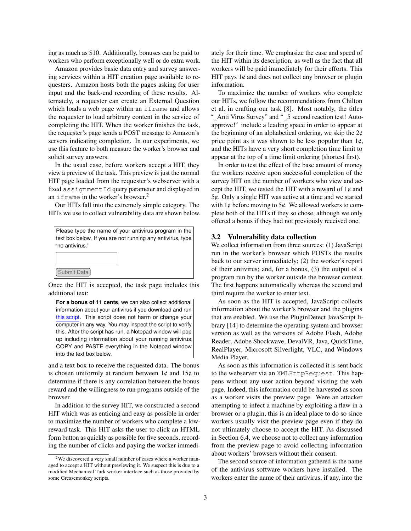ing as much as \$10. Additionally, bonuses can be paid to workers who perform exceptionally well or do extra work.

Amazon provides basic data entry and survey answering services within a HIT creation page available to requesters. Amazon hosts both the pages asking for user input and the back-end recording of these results. Alternately, a requester can create an External Question which loads a web page within an iframe and allows the requester to load arbitrary content in the service of completing the HIT. When the worker finishes the task, the requester's page sends a POST message to Amazon's servers indicating completion. In our experiments, we use this feature to both measure the worker's browser and solicit survey answers.

In the usual case, before workers accept a HIT, they view a preview of the task. This preview is just the normal HIT page loaded from the requester's webserver with a fixed assignmentId query parameter and displayed in an if rame in the worker's browser.<sup>[2](#page-2-0)</sup>

Our HITs fall into the extremely simple category. The HITs we use to collect vulnerability data are shown below.



Once the HIT is accepted, the task page includes this additional text:

**For a bonus of 11 cents**, we can also collect additional information about your antivirus if you download and run this script. This script does not harm or change your computer in any way. You may inspect the script to verify this. After the script has run, a Notepad window will pop up including information about your running antivirus. COPY and PASTE everything in the Notepad window into the text box below.

and a text box to receive the requested data. The bonus is chosen uniformly at random between  $1¢$  and  $15¢$  to determine if there is any correlation between the bonus reward and the willingness to run programs outside of the browser.

In addition to the survey HIT, we constructed a second HIT which was as enticing and easy as possible in order to maximize the number of workers who complete a lowreward task. This HIT asks the user to click an HTML form button as quickly as possible for five seconds, recording the number of clicks and paying the worker immediately for their time. We emphasize the ease and speed of the HIT within its description, as well as the fact that all workers will be paid immediately for their efforts. This HIT pays  $1¢$  and does not collect any browser or plugin information.

To maximize the number of workers who complete our HITs, we follow the recommendations from Chilton et al. in crafting our task [\[8\]](#page-8-18). Most notably, the titles " Anti Virus Survey" and " 5 second reaction test! Autoapprove!" include a leading space in order to appear at the beginning of an alphabetical ordering, we skip the  $2¢$ price point as it was shown to be less popular than  $1¢$ , and the HITs have a very short completion time limit to appear at the top of a time limit ordering (shortest first).

In order to test the effect of the base amount of money the workers receive upon successful completion of the survey HIT on the number of workers who view and accept the HIT, we tested the HIT with a reward of  $1¢$  and 5¢. Only a single HIT was active at a time and we started with  $1\phi$  before moving to  $5\phi$ . We allowed workers to complete both of the HITs if they so chose, although we only offered a bonus if they had not previously received one.

#### 3.2 Vulnerability data collection

We collect information from three sources: (1) JavaScript run in the worker's browser which POSTs the results back to our server immediately; (2) the worker's report of their antivirus; and, for a bonus, (3) the output of a program run by the worker outside the browser context. The first happens automatically whereas the second and third require the worker to enter text.

As soon as the HIT is accepted, JavaScript collects information about the worker's browser and the plugins that are enabled. We use the PluginDetect JavaScript library [\[14\]](#page-8-19) to determine the operating system and browser version as well as the versions of Adobe Flash, Adobe Reader, Adobe Shockwave, DevalVR, Java, QuickTime, RealPlayer, Microsoft Silverlight, VLC, and Windows Media Player.

As soon as this information is collected it is sent back to the webserver via an XMLHttpRequest. This happens without any user action beyond visiting the web page. Indeed, this information could be harvested as soon as a worker visits the preview page. Were an attacker attempting to infect a machine by exploiting a flaw in a browser or a plugin, this is an ideal place to do so since workers usually visit the preview page even if they do not ultimately choose to accept the HIT. As discussed in Section [6.4,](#page-7-0) we choose not to collect any information from the preview page to avoid collecting information about workers' browsers without their consent.

The second source of information gathered is the name of the antivirus software workers have installed. The workers enter the name of their antivirus, if any, into the

<span id="page-2-0"></span> $2$ We discovered a very small number of cases where a worker managed to accept a HIT without previewing it. We suspect this is due to a modified Mechanical Turk worker interface such as those provided by some Greasemonkey scripts.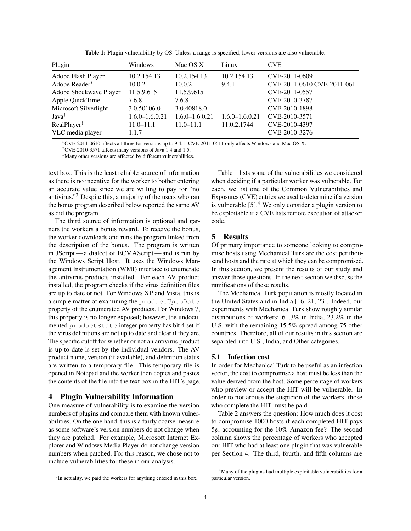<span id="page-3-2"></span>

| Plugin                  | Windows            | Mac OS X           | Linux              | <b>CVE</b>                  |
|-------------------------|--------------------|--------------------|--------------------|-----------------------------|
| Adobe Flash Player      | 10.2.154.13        | 10.2.154.13        | 10.2.154.13        | CVE-2011-0609               |
| Adobe Reader*           | 10.0.2             | 10.0.2             | 9.4.1              | CVE-2011-0610 CVE-2011-0611 |
| Adobe Shockwave Player  | 11.5.9.615         | 11.5.9.615         |                    | CVE-2011-0557               |
| Apple QuickTime         | 7.6.8              | 7.6.8              |                    | CVE-2010-3787               |
| Microsoft Silverlight   | 3.0.50106.0        | 3.0.40818.0        |                    | CVE-2010-1898               |
| Java <sup>†</sup>       | $1.6.0 - 1.6.0.21$ | $1.6.0 - 1.6.0.21$ | $1.6.0 - 1.6.0.21$ | CVE-2010-3571               |
| $RealPlayer^{\ddagger}$ | $11.0 - 11.1$      | $11.0 - 11.1$      | 11.0.2.1744        | CVE-2010-4397               |
| VLC media player        | 1.1.7              |                    |                    | CVE-2010-3276               |

Table 1: Plugin vulnerability by OS. Unless a range is specified, lower versions are also vulnerable.

<sup>∗</sup>CVE-2011-0610 affects all three for versions up to 9.4.1; CVE-2011-0611 only affects Windows and Mac OS X.

†CVE-2010-3571 affects many versions of Java 1.4 and 1.5.

‡Many other versions are affected by different vulnerabilities.

text box. This is the least reliable source of information as there is no incentive for the worker to bother entering an accurate value since we are willing to pay for "no antivirus."[3](#page-3-1) Despite this, a majority of the users who ran the bonus program described below reported the same AV as did the program.

The third source of information is optional and garners the workers a bonus reward. To receive the bonus, the worker downloads and runs the program linked from the description of the bonus. The program is written in JScript— a dialect of ECMAScript— and is run by the Windows Script Host. It uses the Windows Management Instrumentation (WMI) interface to enumerate the antivirus products installed. For each AV product installed, the program checks if the virus definition files are up to date or not. For Windows XP and Vista, this is a simple matter of examining the productUptoDate property of the enumerated AV products. For Windows 7, this property is no longer exposed; however, the undocumented productState integer property has bit 4 set if the virus definitions are not up to date and clear if they are. The specific cutoff for whether or not an antivirus product is up to date is set by the individual vendors. The AV product name, version (if available), and definition status are written to a temporary file. This temporary file is opened in Notepad and the worker then copies and pastes the contents of the file into the text box in the HIT's page.

# <span id="page-3-0"></span>4 Plugin Vulnerability Information

One measure of vulnerability is to examine the version numbers of plugins and compare them with known vulnerabilities. On the one hand, this is a fairly coarse measure as some software's version numbers do not change when they are patched. For example, Microsoft Internet Explorer and Windows Media Player do not change version numbers when patched. For this reason, we chose not to include vulnerabilities for these in our analysis.

<span id="page-3-1"></span><sup>3</sup>In actuality, we paid the workers for anything entered in this box.

Table [1](#page-3-2) lists some of the vulnerabilities we considered when deciding if a particular worker was vulnerable. For each, we list one of the Common Vulnerabilities and Exposures (CVE) entries we used to determine if a version is vulnerable  $[5]$ .<sup>[4](#page-3-3)</sup> We only consider a plugin version to be exploitable if a CVE lists remote execution of attacker code.

## 5 Results

Of primary importance to someone looking to compromise hosts using Mechanical Turk are the cost per thousand hosts and the rate at which they can be compromised. In this section, we present the results of our study and answer those questions. In the next section we discuss the ramifications of these results.

The Mechanical Turk population is mostly located in the United States and in India [\[16,](#page-8-6) [21,](#page-8-5) [23\]](#page-8-8). Indeed, our experiments with Mechanical Turk show roughly similar distributions of workers: 61.3% in India, 23.2% in the U.S. with the remaining 15.5% spread among 75 other countries. Therefore, all of our results in this section are separated into U.S., India, and Other categories.

#### 5.1 Infection cost

In order for Mechanical Turk to be useful as an infection vector, the cost to compromise a host must be less than the value derived from the host. Some percentage of workers who preview or accept the HIT will be vulnerable. In order to not arouse the suspicion of the workers, those who complete the HIT must be paid.

Table [2](#page-4-2) answers the question: How much does it cost to compromise 1000 hosts if each completed HIT pays 5¢, accounting for the 10% Amazon fee? The second column shows the percentage of workers who accepted our HIT who had at least one plugin that was vulnerable per Section [4.](#page-3-0) The third, fourth, and fifth columns are

<span id="page-3-3"></span><sup>&</sup>lt;sup>4</sup>Many of the plugins had multiple exploitable vulnerabilities for a particular version.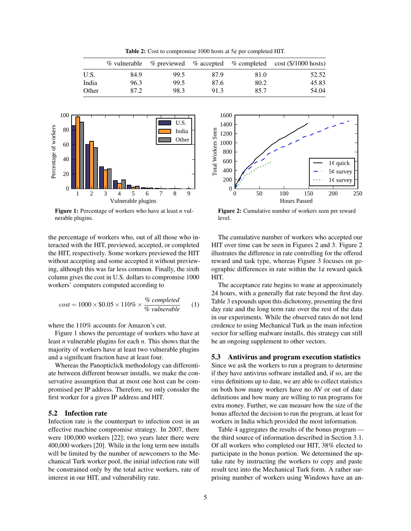**Table 2:** Cost to compromise 1000 hosts at  $5¢$  per completed HIT.

<span id="page-4-2"></span>

|       |      |      |      |      | % vulnerable % previewed % accepted % completed cost (\$/1000 hosts) |
|-------|------|------|------|------|----------------------------------------------------------------------|
| U.S.  | 84.9 | 99.5 | 87.9 | 81.0 | 52.52                                                                |
| India | 96.3 | 99.5 | 87.6 | 80.2 | 45.83                                                                |
| Other | 87.2 | 98.3 | 91.3 | 85.7 | 54.04                                                                |

<span id="page-4-3"></span>

Figure 1: Percentage of workers who have at least *n* vulnerable plugins.

the percentage of workers who, out of all those who interacted with the HIT, previewed, accepted, or completed the HIT, respectively. Some workers previewed the HIT without accepting and some accepted it without previewing, although this was far less common. Finally, the sixth column gives the cost in U.S. dollars to compromise 1000 workers' computers computed according to

<span id="page-4-5"></span>
$$
cost = 1000 \times $0.05 \times 110\% \times \frac{\% \ completed}{\% \ vulnerable} \tag{1}
$$

where the 110% accounts for Amazon's cut.

Figure [1](#page-4-3) shows the percentage of workers who have at least *n* vulnerable plugins for each *n*. This shows that the majority of workers have at least two vulnerable plugins and a significant fraction have at least four.

Whereas the Panopticlick methodology can differentiate between different browser installs, we make the conservative assumption that at most one host can be compromised per IP address. Therefore, we only consider the first worker for a given IP address and HIT.

### <span id="page-4-1"></span>5.2 Infection rate

Infection rate is the counterpart to infection cost in an effective machine compromise strategy. In 2007, there were 100,000 workers [\[22\]](#page-8-7); two years later there were 400,000 workers [\[20\]](#page-8-21). While in the long term new installs will be limited by the number of newcomers to the Mechanical Turk worker pool, the initial infection rate will be constrained only by the total active workers, rate of interest in our HIT, and vulnerability rate.

<span id="page-4-4"></span>

Figure 2: Cumulative number of workers seen per reward level.

The cumulative number of workers who accepted our HIT over time can be seen in Figures [2](#page-4-4) and [3.](#page-5-0) Figure [2](#page-4-4) illustrates the difference in rate controlling for the offered reward and task type, whereas Figure [3](#page-5-0) focuses on geographic differences in rate within the  $1¢$  reward quick HIT.

The acceptance rate begins to wane at approximately 24 hours, with a generally flat rate beyond the first day. Table [3](#page-5-1) expounds upon this dichotomy, presenting the first day rate and the long term rate over the rest of the data in our experiments. While the observed rates do not lend credence to using Mechanical Turk as the main infection vector for selling malware installs, this strategy can still be an ongoing supplement to other vectors.

### <span id="page-4-0"></span>5.3 Antivirus and program execution statistics

Since we ask the workers to run a program to determine if they have antivirus software installed and, if so, are the virus definitions up to date, we are able to collect statistics on both how many workers have no AV or out of date definitions and how many are willing to run programs for extra money. Further, we can measure how the size of the bonus affected the decision to run the program, at least for workers in India which provided the most information.

Table [4](#page-5-2) aggregates the results of the bonus program the third source of information described in Section [3.1.](#page-1-1) Of all workers who completed our HIT, 38% elected to participate in the bonus portion. We determined the uptake rate by instructing the workers to copy and paste result text into the Mechanical Turk form. A rather surprising number of workers using Windows have an an-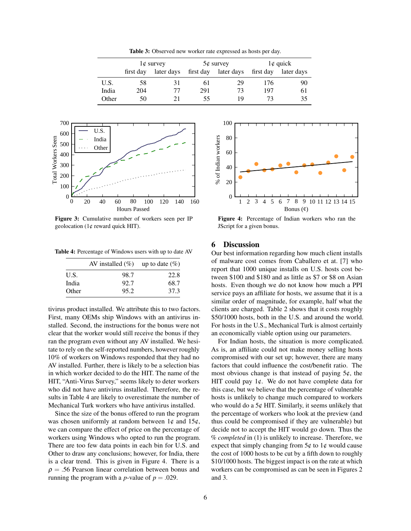Table 3: Observed new worker rate expressed as hosts per day.

<span id="page-5-1"></span>

|       | $1¢$ survey |            | $5¢$ survey |                      | $1¢$ quick |            |
|-------|-------------|------------|-------------|----------------------|------------|------------|
|       | first day   | later days |             | first day later days | first day  | later days |
| U.S.  | 58          | 31         | 6 I         | 29                   | 176        | 90         |
| India | 204         | 77         | 291         | 73                   | 197        | 61         |
| Other | 50          | 71         | 55          | 19                   | 73         | 35         |

<span id="page-5-0"></span>

Figure 3: Cumulative number of workers seen per IP geolocation ( $1¢$  reward quick HIT).

<span id="page-5-2"></span>Table 4: Percentage of Windows users with up to date AV

|       | AV installed $(\% )$ | up to date $(\%)$ |
|-------|----------------------|-------------------|
| U.S.  | 98.7                 | 22.8              |
| India | 92.7                 | 68.7              |
| Other | 95.2                 | 37.3              |

tivirus product installed. We attribute this to two factors. First, many OEMs ship Windows with an antivirus installed. Second, the instructions for the bonus were not clear that the worker would still receive the bonus if they ran the program even without any AV installed. We hesitate to rely on the self-reported numbers, however roughly 10% of workers on Windows responded that they had no AV installed. Further, there is likely to be a selection bias in which worker decided to do the HIT. The name of the HIT, "Anti-Virus Survey," seems likely to deter workers who did not have antivirus installed. Therefore, the results in Table [4](#page-5-2) are likely to overestimate the number of Mechanical Turk workers who have antivirus installed.

Since the size of the bonus offered to run the program was chosen uniformly at random between  $1¢$  and  $15¢$ , we can compare the effect of price on the percentage of workers using Windows who opted to run the program. There are too few data points in each bin for U.S. and Other to draw any conclusions; however, for India, there is a clear trend. This is given in Figure [4.](#page-5-3) There is a  $\rho = .56$  Pearson linear correlation between bonus and running the program with a *p*-value of  $p = .029$ .

<span id="page-5-3"></span>

Figure 4: Percentage of Indian workers who ran the JScript for a given bonus.

### 6 Discussion

Our best information regarding how much client installs of malware cost comes from Caballero et at. [\[7\]](#page-8-1) who report that 1000 unique installs on U.S. hosts cost between \$100 and \$180 and as little as \$7 or \$8 on Asian hosts. Even though we do not know how much a PPI service pays an affiliate for hosts, we assume that it is a similar order of magnitude, for example, half what the clients are charged. Table [2](#page-4-2) shows that it costs roughly \$50/1000 hosts, both in the U.S. and around the world. For hosts in the U.S., Mechanical Turk is almost certainly an economically viable option using our parameters.

For Indian hosts, the situation is more complicated. As is, an affiliate could not make money selling hosts compromised with our set up; however, there are many factors that could influence the cost/benefit ratio. The most obvious change is that instead of paying  $5¢$ , the HIT could pay  $1¢$ . We do not have complete data for this case, but we believe that the percentage of vulnerable hosts is unlikely to change much compared to workers who would do a  $5¢$  HIT. Similarly, it seems unlikely that the percentage of workers who look at the preview (and thus could be compromised if they are vulnerable) but decide not to accept the HIT would go down. Thus the *% completed* in [\(1\)](#page-4-5) is unlikely to increase. Therefore, we expect that simply changing from  $5¢$  to  $1¢$  would cause the cost of 1000 hosts to be cut by a fifth down to roughly \$10/1000 hosts. The biggest impact is on the rate at which workers can be compromised as can be seen in Figures [2](#page-4-4) and [3.](#page-5-0)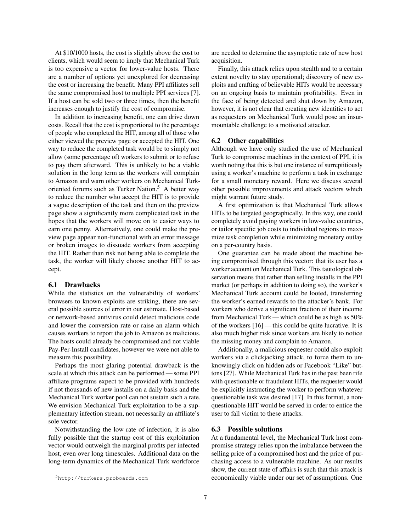At \$10/1000 hosts, the cost is slightly above the cost to clients, which would seem to imply that Mechanical Turk is too expensive a vector for lower-value hosts. There are a number of options yet unexplored for decreasing the cost or increasing the benefit. Many PPI affiliates sell the same compromised host to multiple PPI services [\[7\]](#page-8-1). If a host can be sold two or three times, then the benefit increases enough to justify the cost of compromise.

In addition to increasing benefit, one can drive down costs. Recall that the cost is proportional to the percentage of people who completed the HIT, among all of those who either viewed the preview page or accepted the HIT. One way to reduce the completed task would be to simply not allow (some percentage of) workers to submit or to refuse to pay them afterward. This is unlikely to be a viable solution in the long term as the workers will complain to Amazon and warn other workers on Mechanical Turk-oriented forums such as Turker Nation.<sup>[5](#page-6-0)</sup> A better way to reduce the number who accept the HIT is to provide a vague description of the task and then on the preview page show a significantly more complicated task in the hopes that the workers will move on to easier ways to earn one penny. Alternatively, one could make the preview page appear non-functional with an error message or broken images to dissuade workers from accepting the HIT. Rather than risk not being able to complete the task, the worker will likely choose another HIT to accept.

#### 6.1 Drawbacks

While the statistics on the vulnerability of workers' browsers to known exploits are striking, there are several possible sources of error in our estimate. Host-based or network-based antivirus could detect malicious code and lower the conversion rate or raise an alarm which causes workers to report the job to Amazon as malicious. The hosts could already be compromised and not viable Pay-Per-Install candidates, however we were not able to measure this possibility.

Perhaps the most glaring potential drawback is the scale at which this attack can be performed— some PPI affiliate programs expect to be provided with hundreds if not thousands of new installs on a daily basis and the Mechanical Turk worker pool can not sustain such a rate. We envision Mechanical Turk exploitation to be a supplementary infection stream, not necessarily an affiliate's sole vector.

Notwithstanding the low rate of infection, it is also fully possible that the startup cost of this exploitation vector would outweigh the marginal profits per infected host, even over long timescales. Additional data on the long-term dynamics of the Mechanical Turk workforce are needed to determine the asymptotic rate of new host acquisition.

Finally, this attack relies upon stealth and to a certain extent novelty to stay operational; discovery of new exploits and crafting of believable HITs would be necessary on an ongoing basis to maintain profitability. Even in the face of being detected and shut down by Amazon, however, it is not clear that creating new identities to act as requesters on Mechanical Turk would pose an insurmountable challenge to a motivated attacker.

#### 6.2 Other capabilities

Although we have only studied the use of Mechanical Turk to compromise machines in the context of PPI, it is worth noting that this is but one instance of surreptitiously using a worker's machine to perform a task in exchange for a small monetary reward. Here we discuss several other possible improvements and attack vectors which might warrant future study.

A first optimization is that Mechanical Turk allows HITs to be targeted geographically. In this way, one could completely avoid paying workers in low-value countries, or tailor specific job costs to individual regions to maximize task completion while minimizing monetary outlay on a per-country basis.

One guarantee can be made about the machine being compromised through this vector: that its user has a worker account on Mechanical Turk. This tautological observation means that rather than selling installs in the PPI market (or perhaps in addition to doing so), the worker's Mechanical Turk account could be looted, transferring the worker's earned rewards to the attacker's bank. For workers who derive a significant fraction of their income from Mechanical Turk — which could be as high as 50% of the workers [\[16\]](#page-8-6)— this could be quite lucrative. It is also much higher risk since workers are likely to notice the missing money and complain to Amazon.

Additionally, a malicious requester could also exploit workers via a clickjacking attack, to force them to unknowingly click on hidden ads or Facebook "Like" buttons [\[27\]](#page-9-5). While Mechanical Turk has in the past been rife with questionable or fraudulent HITs, the requester would be explicitly instructing the worker to perform whatever questionable task was desired [\[17\]](#page-8-22). In this format, a nonquestionable HIT would be served in order to entice the user to fall victim to these attacks.

### 6.3 Possible solutions

At a fundamental level, the Mechanical Turk host compromise strategy relies upon the imbalance between the selling price of a compromised host and the price of purchasing access to a vulnerable machine. As our results show, the current state of affairs is such that this attack is economically viable under our set of assumptions. One

<span id="page-6-0"></span><sup>5</sup><http://turkers.proboards.com>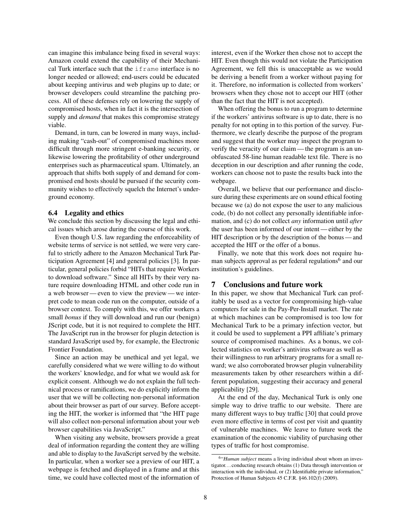can imagine this imbalance being fixed in several ways: Amazon could extend the capability of their Mechanical Turk interface such that the  $if$  rame interface is no longer needed or allowed; end-users could be educated about keeping antivirus and web plugins up to date; or browser developers could streamline the patching process. All of these defenses rely on lowering the supply of compromised hosts, when in fact it is the intersection of supply and *demand* that makes this compromise strategy viable.

Demand, in turn, can be lowered in many ways, including making "cash-out" of compromised machines more difficult through more stringent e-banking security, or likewise lowering the profitability of other underground enterprises such as pharmaceutical spam. Ultimately, an approach that shifts both supply of and demand for compromised end hosts should be pursued if the security community wishes to effectively squelch the Internet's underground economy.

#### <span id="page-7-0"></span>6.4 Legality and ethics

We conclude this section by discussing the legal and ethical issues which arose during the course of this work.

Even though U.S. law regarding the enforceability of website terms of service is not settled, we were very careful to strictly adhere to the Amazon Mechanical Turk Participation Agreement [\[4\]](#page-8-23) and general policies [\[3\]](#page-8-17). In particular, general policies forbid "HITs that require Workers to download software." Since all HITs by their very nature require downloading HTML and other code run in a web browser— even to view the preview— we interpret code to mean code run on the computer, outside of a browser context. To comply with this, we offer workers a small *bonus* if they will download and run our (benign) JScript code, but it is not required to complete the HIT. The JavaScript run in the browser for plugin detection is standard JavaScript used by, for example, the Electronic Frontier Foundation.

Since an action may be unethical and yet legal, we carefully considered what we were willing to do without the workers' knowledge, and for what we would ask for explicit consent. Although we do not explain the full technical process or ramifications, we do explicitly inform the user that we will be collecting non-personal information about their browser as part of our survey. Before accepting the HIT, the worker is informed that "the HIT page will also collect non-personal information about your web browser capabilities via JavaScript."

When visiting any website, browsers provide a great deal of information regarding the content they are willing and able to display to the JavaScript served by the website. In particular, when a worker see a preview of our HIT, a webpage is fetched and displayed in a frame and at this time, we could have collected most of the information of

interest, even if the Worker then chose not to accept the HIT. Even though this would not violate the Participation Agreement, we fell this is unacceptable as we would be deriving a benefit from a worker without paying for it. Therefore, no information is collected from workers' browsers when they chose not to accept our HIT (other than the fact that the HIT is not accepted).

When offering the bonus to run a program to determine if the workers' antivirus software is up to date, there is no penalty for not opting in to this portion of the survey. Furthermore, we clearly describe the purpose of the program and suggest that the worker may inspect the program to verify the veracity of our claim— the program is an unobfuscated 58-line human readable text file. There is no deception in our description and after running the code, workers can choose not to paste the results back into the webpage.

Overall, we believe that our performance and disclosure during these experiments are on sound ethical footing because we (a) do not expose the user to any malicious code, (b) do not collect any personally identifiable information, and (c) do not collect *any* information until *after* the user has been informed of our intent— either by the HIT description or by the description of the bonus — and accepted the HIT or the offer of a bonus.

Finally, we note that this work does not require hu-man subjects approval as per federal regulations<sup>[6](#page-7-1)</sup> and our institution's guidelines.

### 7 Conclusions and future work

In this paper, we show that Mechanical Turk can profitably be used as a vector for compromising high-value computers for sale in the Pay-Per-Install market. The rate at which machines can be compromised is too low for Mechanical Turk to be a primary infection vector, but it could be used to supplement a PPI affiliate's primary source of compromised machines. As a bonus, we collected statistics on worker's antivirus software as well as their willingness to run arbitrary programs for a small reward; we also corroborated browser plugin vulnerability measurements taken by other researchers within a different population, suggesting their accuracy and general applicability [\[29\]](#page-9-3).

At the end of the day, Mechanical Turk is only one simple way to drive traffic to our website. There are many different ways to buy traffic [\[30\]](#page-9-4) that could prove even more effective in terms of cost per visit and quantity of vulnerable machines. We leave to future work the examination of the economic viability of purchasing other types of traffic for host compromise.

<span id="page-7-1"></span><sup>6</sup> "*Human subject* means a living individual about whom an investigator. . . conducting research obtains (1) Data through intervention or interaction with the individual, or (2) Identifiable private information," Protection of Human Subjects 45 C.F.R. §46.102(f) (2009).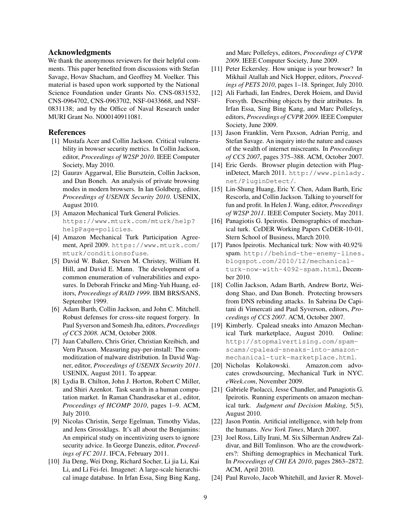# Acknowledgments

We thank the anonymous reviewers for their helpful comments. This paper benefited from discussions with Stefan Savage, Hovav Shacham, and Geoffrey M. Voelker. This material is based upon work supported by the National Science Foundation under Grants No. CNS-0831532, CNS-0964702, CNS-0963702, NSF-0433668, and NSF-0831138; and by the Office of Naval Research under MURI Grant No. N000140911081.

### References

- <span id="page-8-11"></span>[1] Mustafa Acer and Collin Jackson. Critical vulnerability in browser security metrics. In Collin Jackson, editor, *Proceedings of W2SP 2010*. IEEE Computer Society, May 2010.
- <span id="page-8-13"></span>[2] Gaurav Aggarwal, Elie Bursztein, Collin Jackson, and Dan Boneh. An analysis of private browsing modes in modern browsers. In Ian Goldberg, editor, *Proceedings of USENIX Security 2010*. USENIX, August 2010.
- <span id="page-8-17"></span>[3] Amazon Mechanical Turk General Policies. [https://www.mturk.com/mturk/help?](https://www.mturk.com/mturk/help?helpPage=policies) [helpPage=policies](https://www.mturk.com/mturk/help?helpPage=policies).
- <span id="page-8-23"></span>[4] Amazon Mechanical Turk Participation Agreement, April 2009. [https://www.mturk.com/](https://www.mturk.com/mturk/conditionsofuse) [mturk/conditionsofuse](https://www.mturk.com/mturk/conditionsofuse).
- <span id="page-8-20"></span>[5] David W. Baker, Steven M. Christey, William H. Hill, and David E. Mann. The development of a common enumeration of vulnerabilities and exposures. In Deborah Frincke and Ming-Yuh Huang, editors, *Proceedings of RAID 1999*. IBM BRS/SANS, September 1999.
- <span id="page-8-14"></span>[6] Adam Barth, Collin Jackson, and John C. Mitchell. Robust defenses for cross-site request forgery. In Paul Syverson and Somesh Jha, editors, *Proceedings of CCS 2008*. ACM, October 2008.
- <span id="page-8-1"></span>[7] Juan Caballero, Chris Grier, Christian Kreibich, and Vern Paxson. Measuring pay-per-install: The commoditization of malware distribution. In David Wagner, editor, *Proceedings of USENIX Security 2011*. USENIX, August 2011. To appear.
- <span id="page-8-18"></span>[8] Lydia B. Chilton, John J. Horton, Robert C Miller, and Shiri Azenkot. Task search in a human computation market. In Raman Chandrasekar et al., editor, *Proceedings of HCOMP 2010*, pages 1–9. ACM, July 2010.
- <span id="page-8-10"></span>[9] Nicolas Christin, Serge Egelman, Timothy Vidas, and Jens Grossklags. It's all about the Benjamins: An empirical study on incentivizing users to ignore security advice. In George Danezis, editor, *Proceedings of FC 2011*. IFCA, February 2011.
- <span id="page-8-2"></span>[10] Jia Deng, Wei Dong, Richard Socher, Li jia Li, Kai Li, and Li Fei-fei. Imagenet: A large-scale hierarchical image database. In Irfan Essa, Sing Bing Kang,

and Marc Pollefeys, editors, *Proceedings of CVPR 2009*. IEEE Computer Society, June 2009.

- <span id="page-8-12"></span>[11] Peter Eckersley. How unique is your browser? In Mikhail Atallah and Nick Hopper, editors, *Proceedings of PETS 2010*, pages 1–18. Springer, July 2010.
- <span id="page-8-3"></span>[12] Ali Farhadi, Ian Endres, Derek Hoiem, and David Forsyth. Describing objects by their attributes. In Irfan Essa, Sing Bing Kang, and Marc Pollefeys, editors, *Proceedings of CVPR 2009*. IEEE Computer Society, June 2009.
- <span id="page-8-0"></span>[13] Jason Franklin, Vern Paxson, Adrian Perrig, and Stefan Savage. An inquiry into the nature and causes of the wealth of internet miscreants. In *Proceedings of CCS 2007*, pages 375–388. ACM, October 2007.
- <span id="page-8-19"></span>[14] Eric Gerds. Browser plugin detection with PluginDetect, March 2011. [http://www.pinlady.](http://www.pinlady.net/PluginDetect/) [net/PluginDetect/](http://www.pinlady.net/PluginDetect/).
- <span id="page-8-15"></span>[15] Lin-Shung Huang, Eric Y. Chen, Adam Barth, Eric Rescorla, and Collin Jackson. Talking to yourself for fun and profit. In Helen J. Wang, editor, *Proceedings of W2SP 2011*. IEEE Computer Society, May 2011.
- <span id="page-8-6"></span>[16] Panagiotis G. Ipeirotis. Demographics of mechanical turk. CeDER Working Papers CeDER-10-01, Stern School of Business, March 2010.
- <span id="page-8-22"></span>[17] Panos Ipeirotis. Mechanical turk: Now with 40.92% spam. [http://behind-the-enemy-lines.](http://behind-the-enemy-lines.blogspot.com/2010/12/mechanical-turk-now-with-4092-spam.html) [blogspot.com/2010/12/mechanical](http://behind-the-enemy-lines.blogspot.com/2010/12/mechanical-turk-now-with-4092-spam.html)[turk-now-with-4092-spam.html](http://behind-the-enemy-lines.blogspot.com/2010/12/mechanical-turk-now-with-4092-spam.html), December 2010.
- <span id="page-8-16"></span>[18] Collin Jackson, Adam Barth, Andrew Bortz, Weidong Shao, and Dan Boneh. Protecting browsers from DNS rebinding attacks. In Sabrina De Capitani di Vimercati and Paul Syverson, editors, *Proceedings of CCS 2007*. ACM, October 2007.
- <span id="page-8-9"></span>[19] Kimberly. Cpalead sneaks into Amazon Mechanical Turk marketplace, August 2010. Online: [http://stopmalvertising.com/spam](http://stopmalvertising.com/spam-scams/cpalead-sneaks-into-amazon-mechanical-turk-marketplace.html)[scams/cpalead-sneaks-into-amazon](http://stopmalvertising.com/spam-scams/cpalead-sneaks-into-amazon-mechanical-turk-marketplace.html)[mechanical-turk-marketplace.html](http://stopmalvertising.com/spam-scams/cpalead-sneaks-into-amazon-mechanical-turk-marketplace.html).
- <span id="page-8-21"></span>[20] Nicholas Kolakowski. Amazon.com advocates crowdsourcing, Mechanical Turk in NYC. *eWeek.com*, November 2009.
- <span id="page-8-5"></span>[21] Gabriele Paolacci, Jesse Chandler, and Panagiotis G. Ipeirotis. Running experiments on amazon mechanical turk. *Judgment and Decision Making*, 5(5), August 2010.
- <span id="page-8-7"></span>[22] Jason Pontin. Artificial intelligence, with help from the humans. *New York Times*, March 2007.
- <span id="page-8-8"></span>[23] Joel Ross, Lilly Irani, M. Six Silberman Andrew Zaldivar, and Bill Tomlinson. Who are the crowdworkers?: Shifting demographics in Mechanical Turk. In *Proceedings of CHI EA 2010*, pages 2863–2872. ACM, April 2010.
- <span id="page-8-4"></span>[24] Paul Ruvolo, Jacob Whitehill, and Javier R. Movel-